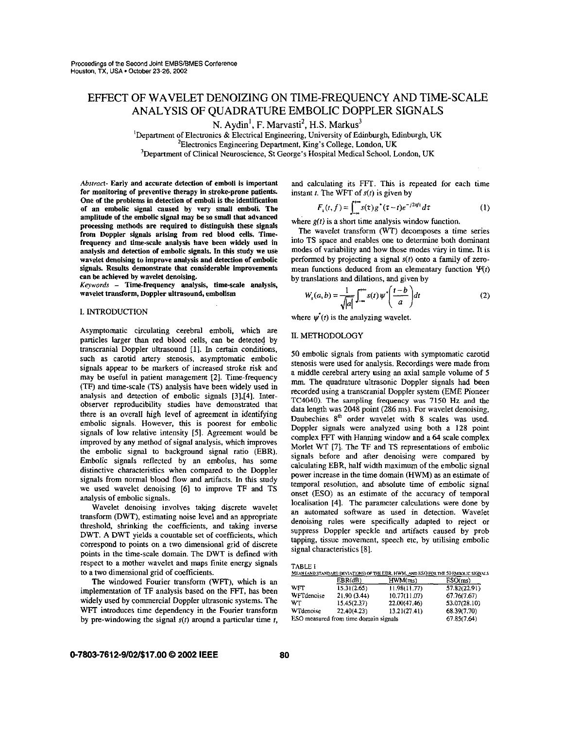# EFFECT OF WAVELET DENOIZING ON TIME-FREQUENCY AND TIME-SCALE ANALYSIS OF QUADRATURE EMBOLIC DOPPLER SIGNALS

N. Aydin<sup>1</sup>, F. Marvasti<sup>2</sup>, H.S. Markus<sup>3</sup>

<sup>1</sup>Department of Electronics & Electrical Engineering, University of Edinburgh, Edinburgh, UK 'Electronics Engineering Department, King's College, London, UK

<sup>3</sup>Department of Clinical Neuroscience, St George's Hospital Medical School, London, UK

*Abstract-* Early and accurate detection of emboli is important for monitoring of preventive therapy in stroke-prone patients. One of the problems in detection of emboli is the identification of an embolic signal caused by very **small** emboli. The amplitude of the embolic signal may **be** so small that advanced proeessing methods are required to distinguish these signals from Doppler signals arising from red blood cells. Timefrequency and time-scale analysis have been widely used in analysis and detection of embolic signals. In this study we use wavelet denoising to improve analysis and detection of embolic signals. **Results** demonstrate that considerable impmvements can **be** achieved by wavelet denoising.

Keywords - Time-frequency analysis, time-scale analysis, wavelet transform, Doppler ultrasound, embolism

#### I. INTRODUCTION

Asymptomatic circulating cerebral emboli, which are particles larger than red blood cells, can be detected by transcranial Doppler ultrasound [l]. In cenain conditions, such as carotid artery stenosis, asymptomatic embolic signals appear to be markers of increased stroke risk and may be useful in patient management [2]. Time-frequency (TF) and time-scale (TS) analysis have been widely used in analysis and detection of embolic signals **[3],[4].** Interobserver reproducibility studies have demonstrated that there is an overall high level of agreement in identifying embolic signals. However, this is poorest for embolic signals of low relative intensity *[5].* Agreement would be improved by any method of signal analysis, which improves the embolic signal to background signal ratio (EBR). Embolic signals reflected by an embolus, has some distinctive characteristics when compared to the Doppler signals from normal blood flow and artifacts. In this study we used wavelet denoising [6] to improve TF and TS analysis of embolic signals.

Wavelet denoising involves taking discrete wavelet transform (DWT), estimating noise level and an appropriate threshold, **shrinking** the coefficients, and taking inverse DWT. A DWT yields a countable set of coefficients, which correspond to points on a two dimensional grid of discrete points in the time-scale domain. The DWT is defined with respect to a mother wavelet and maps finite energy signals to a two dimensional grid of coefficients.

implementation of TF analysis based on the FFT, has been The windowed Fourier transform (WFT), which is an widely used by commercial Doppler ultrasonic systems. The WFT introduces time dependency in the Fourier transform by pre-windowing the signal  $s(t)$  around a particular time  $t$ , and calculating its FFT. This is repeated for each time

instant t. The WFT of 
$$
s(t)
$$
 is given by  
\n
$$
F_x(t, f) = \int_{-\infty}^{\infty} s(\tau) g^*(\tau - t) e^{-j2\pi ft} d\tau
$$
\n(1)

where  $g(t)$  is a short time analysis window function.

The wavelet transform (WT) decomposes a time series into TS space and enables one to determine both dominant modes of variability and how those modes vary in time. It is performed by projecting a signal *s(r)* onto a family of zeromean functions deduced from an elementary function  $\Psi(t)$ by translations and dilations, and given by

$$
W_s(a,b) = \frac{1}{\sqrt{|a|}} \int_{-\infty}^{\infty} s(t) \psi' \left(\frac{t-b}{a}\right) dt
$$
 (2)

where  $\psi'(t)$  is the analyzing wavelet.

## **II.** METHODOLOGY

50 embolic signals from patients with symptomatic carotid stenosis were used for analysis. Recordings were made from a middle cerebral artery using an axial sample volume of *5*  mm. The quadrature ultrasonic Doppler signals had been recorded using a transcranial Doppler system (EME Pioneer **TC4040).** The sampling frequency **was** 7150 **Hz** and the data length was 2048 point (286 ms). For wavelet denoising, Daubechies 8<sup>th</sup> order wavelet with 8 scales was used. Doppler signals were analyzed using both a 128 point complex **FFT** with Hanning window and a *64* scale complex Morlet WT [71. The TF and TS representations of embolic signals before and after denoising were compared by calculating EBR, half width maximum of the embolic signal power increase in the time domain (HWM) as an estimate of temporal resolution, and absolute time of embolic signal onset (ESO) as an estimate of the accuracy of temporal localisation **[41.** The parameter calculations were done by an automated software as used in detection. Wavelet denoising rules were specifically adapted to reject or suppress Doppler speckle and artifacts caused by prob tapping, tissue movement, speech etc, by utilising embolic signal characteristics **[SI.** 

| `ABI. |  |  |
|-------|--|--|
|       |  |  |

|                                       |             |              | MEAN (AND STANDARD DEVIATIONS) OF THE EBR, HWM, AND ESO FOR THE 50 EMBOLIC SIGNALS |
|---------------------------------------|-------------|--------------|------------------------------------------------------------------------------------|
|                                       | EBR(dB)     | HWM(ms)      | ESO(ms)                                                                            |
| <b>WFT</b>                            | 15.31(2.65) | 11.98(11.77) | 57.82(22.91)                                                                       |
| WFTdenoise                            | 21.90(3.44) | 10.77(11.07) | 67.76(7.67)                                                                        |
| WT                                    | 15.45(2.37) | 22.00(47.46) | 53.07(28.10)                                                                       |
| WTdenoise                             | 22.40(4.23) | 13.21(27.41) | 68.39(7.70)                                                                        |
| ESO measured from time domain signals | 67.85(7.64) |              |                                                                                    |